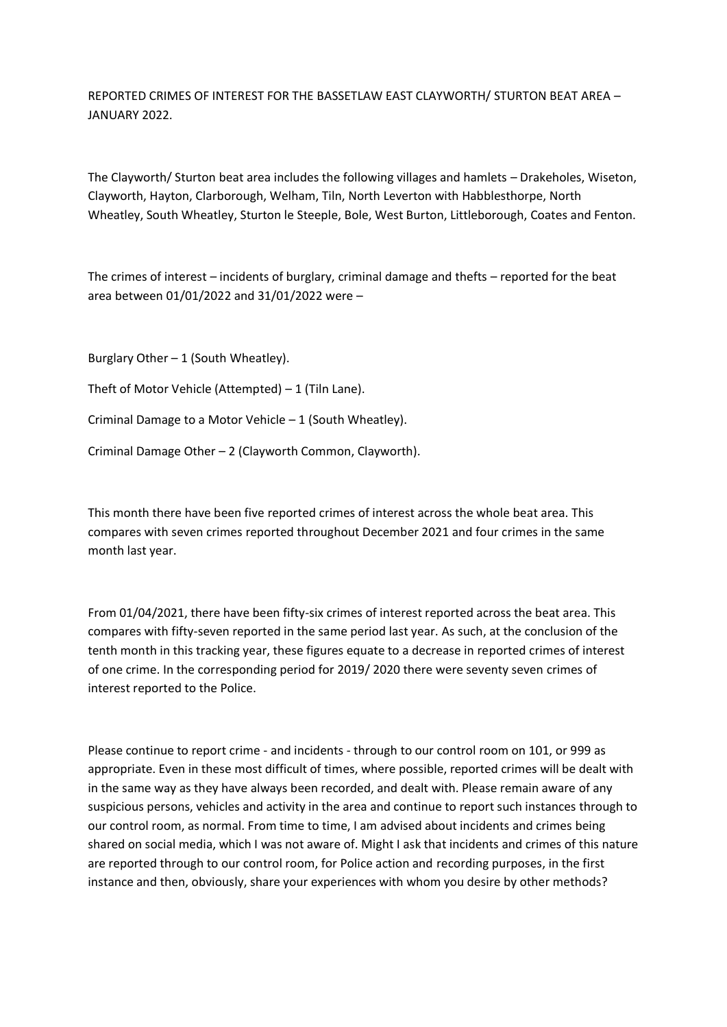REPORTED CRIMES OF INTEREST FOR THE BASSETLAW EAST CLAYWORTH/ STURTON BEAT AREA – JANUARY 2022.

The Clayworth/ Sturton beat area includes the following villages and hamlets – Drakeholes, Wiseton, Clayworth, Hayton, Clarborough, Welham, Tiln, North Leverton with Habblesthorpe, North Wheatley, South Wheatley, Sturton le Steeple, Bole, West Burton, Littleborough, Coates and Fenton.

The crimes of interest – incidents of burglary, criminal damage and thefts – reported for the beat area between 01/01/2022 and 31/01/2022 were –

Burglary Other  $-1$  (South Wheatley).

Theft of Motor Vehicle (Attempted) – 1 (Tiln Lane).

Criminal Damage to a Motor Vehicle – 1 (South Wheatley).

Criminal Damage Other – 2 (Clayworth Common, Clayworth).

This month there have been five reported crimes of interest across the whole beat area. This compares with seven crimes reported throughout December 2021 and four crimes in the same month last year.

From 01/04/2021, there have been fifty-six crimes of interest reported across the beat area. This compares with fifty-seven reported in the same period last year. As such, at the conclusion of the tenth month in this tracking year, these figures equate to a decrease in reported crimes of interest of one crime. In the corresponding period for 2019/ 2020 there were seventy seven crimes of interest reported to the Police.

Please continue to report crime - and incidents - through to our control room on 101, or 999 as appropriate. Even in these most difficult of times, where possible, reported crimes will be dealt with in the same way as they have always been recorded, and dealt with. Please remain aware of any suspicious persons, vehicles and activity in the area and continue to report such instances through to our control room, as normal. From time to time, I am advised about incidents and crimes being shared on social media, which I was not aware of. Might I ask that incidents and crimes of this nature are reported through to our control room, for Police action and recording purposes, in the first instance and then, obviously, share your experiences with whom you desire by other methods?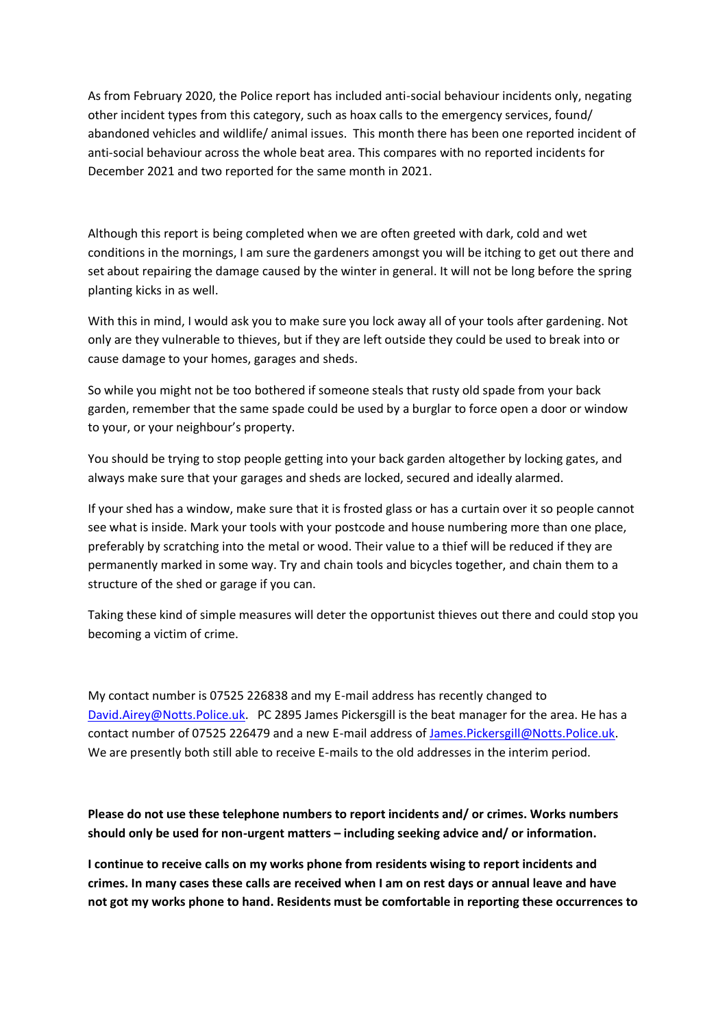As from February 2020, the Police report has included anti-social behaviour incidents only, negating other incident types from this category, such as hoax calls to the emergency services, found/ abandoned vehicles and wildlife/ animal issues. This month there has been one reported incident of anti-social behaviour across the whole beat area. This compares with no reported incidents for December 2021 and two reported for the same month in 2021.

Although this report is being completed when we are often greeted with dark, cold and wet conditions in the mornings, I am sure the gardeners amongst you will be itching to get out there and set about repairing the damage caused by the winter in general. It will not be long before the spring planting kicks in as well.

With this in mind, I would ask you to make sure you lock away all of your tools after gardening. Not only are they vulnerable to thieves, but if they are left outside they could be used to break into or cause damage to your homes, garages and sheds.

So while you might not be too bothered if someone steals that rusty old spade from your back garden, remember that the same spade could be used by a burglar to force open a door or window to your, or your neighbour's property.

You should be trying to stop people getting into your back garden altogether by locking gates, and always make sure that your garages and sheds are locked, secured and ideally alarmed.

If your shed has a window, make sure that it is frosted glass or has a curtain over it so people cannot see what is inside. Mark your tools with your postcode and house numbering more than one place, preferably by scratching into the metal or wood. Their value to a thief will be reduced if they are permanently marked in some way. Try and chain tools and bicycles together, and chain them to a structure of the shed or garage if you can.

Taking these kind of simple measures will deter the opportunist thieves out there and could stop you becoming a victim of crime.

My contact number is 07525 226838 and my E-mail address has recently changed to [David.Airey@Notts.Police.uk.](about:blank) PC 2895 James Pickersgill is the beat manager for the area. He has a contact number of 07525 226479 and a new E-mail address of [James.Pickersgill@Notts.Police.uk.](about:blank) We are presently both still able to receive E-mails to the old addresses in the interim period.

**Please do not use these telephone numbers to report incidents and/ or crimes. Works numbers should only be used for non-urgent matters – including seeking advice and/ or information.**

**I continue to receive calls on my works phone from residents wising to report incidents and crimes. In many cases these calls are received when I am on rest days or annual leave and have not got my works phone to hand. Residents must be comfortable in reporting these occurrences to**